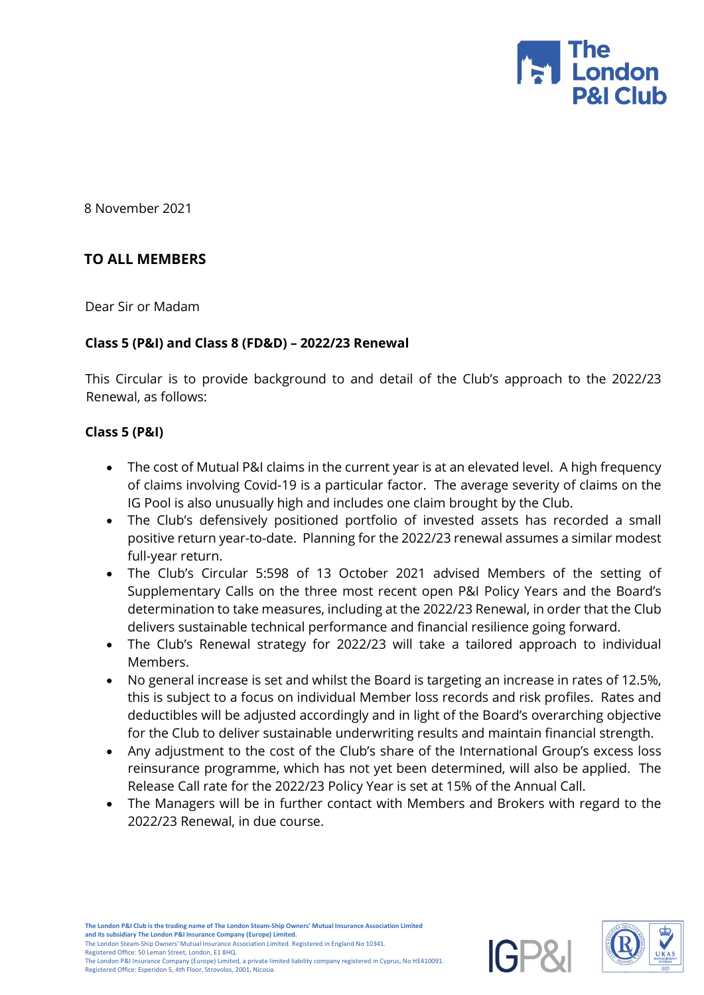

8 November 2021

## **TO ALL MEMBERS**

Dear Sir or Madam

### **Class 5 (P&I) and Class 8 (FD&D) – 2022/23 Renewal**

This Circular is to provide background to and detail of the Club's approach to the 2022/23 Renewal, as follows:

### **Class 5 (P&I)**

- The cost of Mutual P&I claims in the current year is at an elevated level. A high frequency of claims involving Covid-19 is a particular factor. The average severity of claims on the IG Pool is also unusually high and includes one claim brought by the Club.
- The Club's defensively positioned portfolio of invested assets has recorded a small positive return year-to-date. Planning for the 2022/23 renewal assumes a similar modest full-year return.
- The Club's Circular 5:598 of 13 October 2021 advised Members of the setting of Supplementary Calls on the three most recent open P&I Policy Years and the Board's determination to take measures, including at the 2022/23 Renewal, in order that the Club delivers sustainable technical performance and financial resilience going forward.
- The Club's Renewal strategy for 2022/23 will take a tailored approach to individual Members.
- No general increase is set and whilst the Board is targeting an increase in rates of 12.5%, this is subject to a focus on individual Member loss records and risk profiles. Rates and deductibles will be adjusted accordingly and in light of the Board's overarching objective for the Club to deliver sustainable underwriting results and maintain financial strength.
- Any adjustment to the cost of the Club's share of the International Group's excess loss reinsurance programme, which has not yet been determined, will also be applied. The Release Call rate for the 2022/23 Policy Year is set at 15% of the Annual Call.
- The Managers will be in further contact with Members and Brokers with regard to the 2022/23 Renewal, in due course.



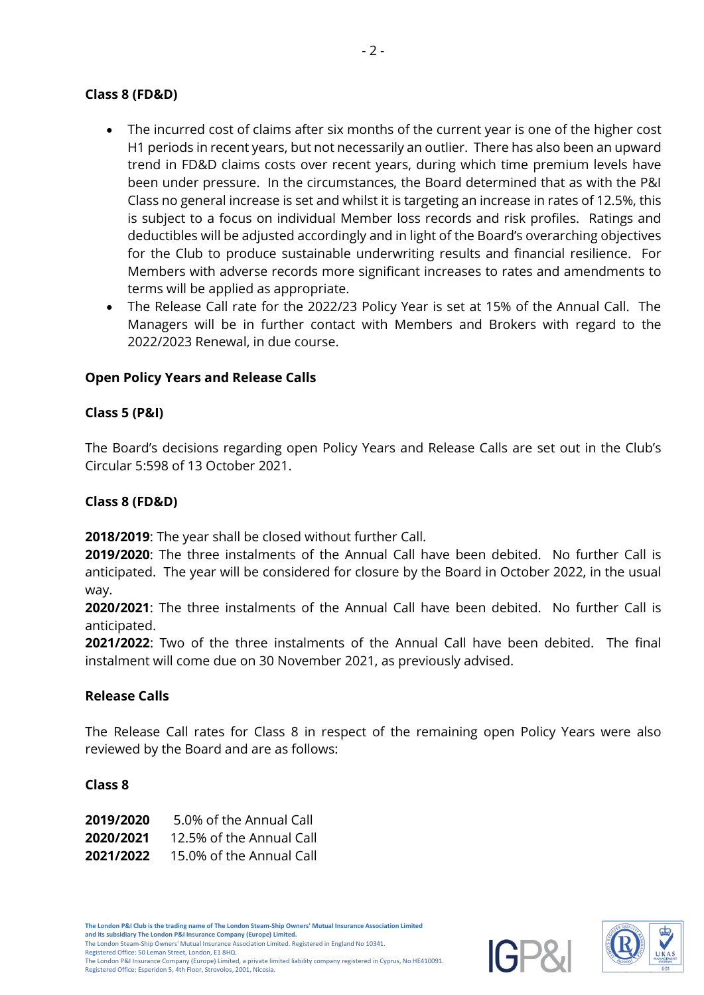## **Class 8 (FD&D)**

- The incurred cost of claims after six months of the current year is one of the higher cost H1 periods in recent years, but not necessarily an outlier. There has also been an upward trend in FD&D claims costs over recent years, during which time premium levels have been under pressure. In the circumstances, the Board determined that as with the P&I Class no general increase is set and whilst it is targeting an increase in rates of 12.5%, this is subject to a focus on individual Member loss records and risk profiles. Ratings and deductibles will be adjusted accordingly and in light of the Board's overarching objectives for the Club to produce sustainable underwriting results and financial resilience. For Members with adverse records more significant increases to rates and amendments to terms will be applied as appropriate.
- The Release Call rate for the 2022/23 Policy Year is set at 15% of the Annual Call. The Managers will be in further contact with Members and Brokers with regard to the 2022/2023 Renewal, in due course.

# **Open Policy Years and Release Calls**

## **Class 5 (P&I)**

The Board's decisions regarding open Policy Years and Release Calls are set out in the Club's Circular 5:598 of 13 October 2021.

### **Class 8 (FD&D)**

**2018/2019**: The year shall be closed without further Call.

**2019/2020**: The three instalments of the Annual Call have been debited. No further Call is anticipated. The year will be considered for closure by the Board in October 2022, in the usual way.

**2020/2021**: The three instalments of the Annual Call have been debited. No further Call is anticipated.

**2021/2022**: Two of the three instalments of the Annual Call have been debited. The final instalment will come due on 30 November 2021, as previously advised.

### **Release Calls**

The Release Call rates for Class 8 in respect of the remaining open Policy Years were also reviewed by the Board and are as follows:

### **Class 8**

| 2019/2020 | 5.0% of the Annual Call  |
|-----------|--------------------------|
| 2020/2021 | 12.5% of the Annual Call |
| 2021/2022 | 15.0% of the Annual Call |